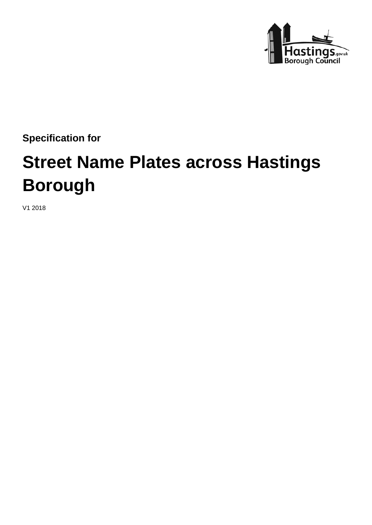

**Specification for** 

# **Street Name Plates across Hastings Borough**

V1 2018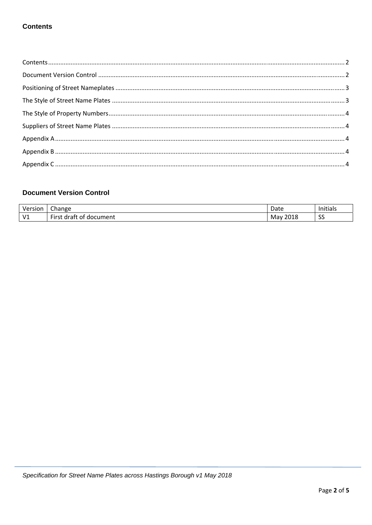## **Contents**

# **Document Version Control**

| Version               | Change                                       | Date        | .<br>Initials |
|-----------------------|----------------------------------------------|-------------|---------------|
| V <sub>1</sub><br>. . | $- \cdot$<br>First<br>. draff<br>of document | 2018<br>Mav | $\sim$<br>-၁၁ |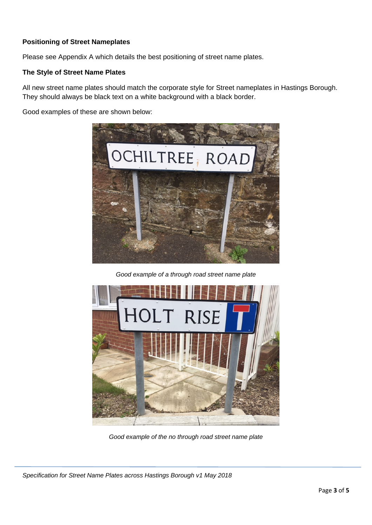## **Positioning of Street Nameplates**

Please see Appendix A which details the best positioning of street name plates.

## **The Style of Street Name Plates**

All new street name plates should match the corporate style for Street nameplates in Hastings Borough. They should always be black text on a white background with a black border.

Good examples of these are shown below:



*Good example of a through road street name plate*



*Good example of the no through road street name plate* 

*Specification for Street Name Plates across Hastings Borough v1 May 2018*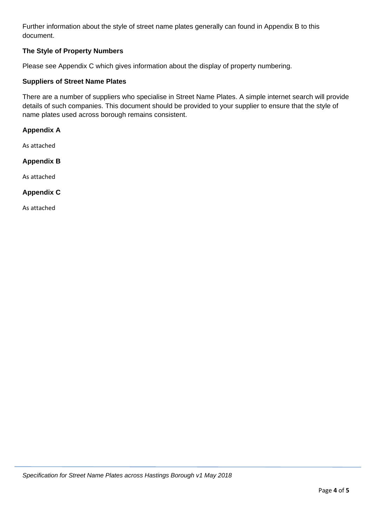Further information about the style of street name plates generally can found in Appendix B to this document.

## **The Style of Property Numbers**

Please see Appendix C which gives information about the display of property numbering.

## **Suppliers of Street Name Plates**

There are a number of suppliers who specialise in Street Name Plates. A simple internet search will provide details of such companies. This document should be provided to your supplier to ensure that the style of name plates used across borough remains consistent.

#### **Appendix A**

As attached

#### **Appendix B**

As attached

#### **Appendix C**

As attached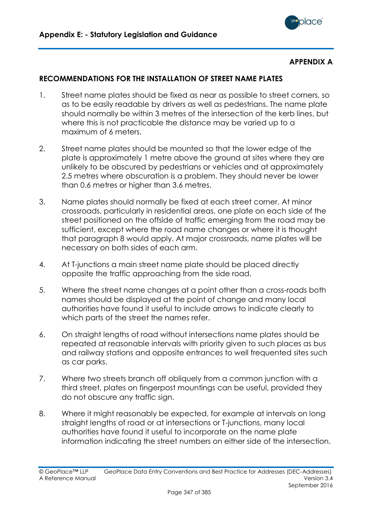

## **APPENDIX A**

## **RECOMMENDATIONS FOR THE INSTALLATION OF STREET NAME PLATES**

- 1. Street name plates should be fixed as near as possible to street corners, so as to be easily readable by drivers as well as pedestrians. The name plate should normally be within 3 metres of the intersection of the kerb lines, but where this is not practicable the distance may be varied up to a maximum of 6 meters.
- 2. Street name plates should be mounted so that the lower edge of the plate is approximately 1 metre above the ground at sites where they are unlikely to be obscured by pedestrians or vehicles and at approximately 2.5 metres where obscuration is a problem. They should never be lower than 0.6 metres or higher than 3.6 metres.
- 3. Name plates should normally be fixed at each street corner. At minor crossroads, particularly in residential areas, one plate on each side of the street positioned on the offside of traffic emerging from the road may be sufficient, except where the road name changes or where it is thought that paragraph 8 would apply. At major crossroads, name plates will be necessary on both sides of each arm.
- 4. At T-junctions a main street name plate should be placed directly opposite the traffic approaching from the side road.
- 5. Where the street name changes at a point other than a cross-roads both names should be displayed at the point of change and many local authorities have found it useful to include arrows to indicate clearly to which parts of the street the names refer.
- 6. On straight lengths of road without intersections name plates should be repeated at reasonable intervals with priority given to such places as bus and railway stations and opposite entrances to well frequented sites such as car parks.
- 7. Where two streets branch off obliquely from a common junction with a third street, plates on fingerpost mountings can be useful, provided they do not obscure any traffic sign.
- 8. Where it might reasonably be expected, for example at intervals on long straight lengths of road or at intersections or T-junctions, many local authorities have found it useful to incorporate on the name plate information indicating the street numbers on either side of the intersection.

<sup>©</sup> GeoPlace™ LLP GeoPlace Data Entry Conventions and Best Practice for Addresses (DEC-Addresses) A Reference Manual Version 3.4 September 2016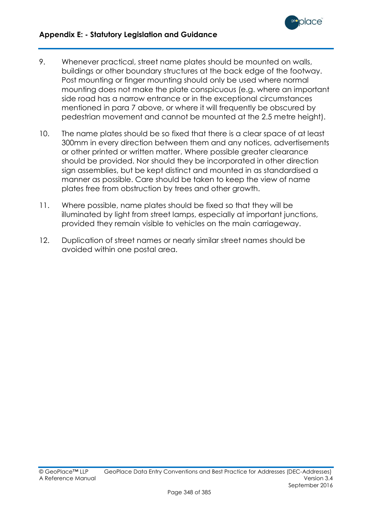

- 9. Whenever practical, street name plates should be mounted on walls, buildings or other boundary structures at the back edge of the footway. Post mounting or finger mounting should only be used where normal mounting does not make the plate conspicuous (e.g. where an important side road has a narrow entrance or in the exceptional circumstances mentioned in para 7 above, or where it will frequently be obscured by pedestrian movement and cannot be mounted at the 2.5 metre height).
- 10. The name plates should be so fixed that there is a clear space of at least 300mm in every direction between them and any notices, advertisements or other printed or written matter. Where possible greater clearance should be provided. Nor should they be incorporated in other direction sign assemblies, but be kept distinct and mounted in as standardised a manner as possible. Care should be taken to keep the view of name plates free from obstruction by trees and other growth.
- 11. Where possible, name plates should be fixed so that they will be illuminated by light from street lamps, especially at important junctions, provided they remain visible to vehicles on the main carriageway.
- 12. Duplication of street names or nearly similar street names should be avoided within one postal area.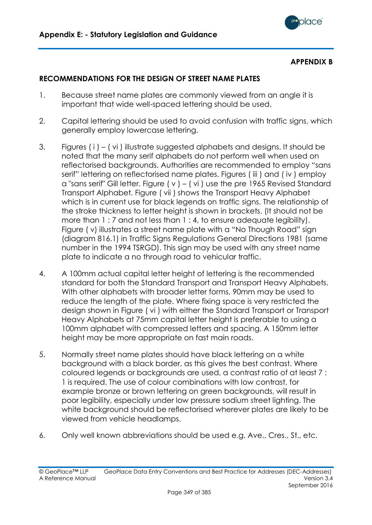

## **APPENDIX B**

# **RECOMMENDATIONS FOR THE DESIGN OF STREET NAME PLATES**

- 1. Because street name plates are commonly viewed from an angle it is important that wide well-spaced lettering should be used.
- 2. Capital lettering should be used to avoid confusion with traffic signs, which generally employ lowercase lettering.
- 3. Figures ( i ) ( vi ) illustrate suggested alphabets and designs. It should be noted that the many serif alphabets do not perform well when used on reflectorised backgrounds. Authorities are recommended to employ "sans serif" lettering on reflectorised name plates. Figures (iii) and (iv) employ a "sans serif" Gill letter. Figure  $(y) - (vi)$  use the pre 1965 Revised Standard Transport Alphabet. Figure ( vii ) shows the Transport Heavy Alphabet which is in current use for black legends on traffic signs. The relationship of the stroke thickness to letter height is shown in brackets. (It should not be more than 1 : 7 and not less than 1 : 4, to ensure adequate legibility). Figure ( v) illustrates a street name plate with a "No Though Road" sign (diagram 816.1) in Traffic Signs Regulations General Directions 1981 (same number in the 1994 TSRGD). This sign may be used with any street name plate to indicate a no through road to vehicular traffic.
- 4. A 100mm actual capital letter height of lettering is the recommended standard for both the Standard Transport and Transport Heavy Alphabets. With other alphabets with broader letter forms, 90mm may be used to reduce the length of the plate. Where fixing space is very restricted the design shown in Figure ( vi ) with either the Standard Transport or Transport Heavy Alphabets at 75mm capital letter height is preferable to using a 100mm alphabet with compressed letters and spacing. A 150mm letter height may be more appropriate on fast main roads.
- 5. Normally street name plates should have black lettering on a white background with a black border, as this gives the best contrast. Where coloured legends or backgrounds are used, a contrast ratio of at least 7 : 1 is required. The use of colour combinations with low contrast, for example bronze or brown lettering on green backgrounds, will result in poor legibility, especially under low pressure sodium street lighting. The white background should be reflectorised wherever plates are likely to be viewed from vehicle headlamps.
- 6. Only well known abbreviations should be used e.g. Ave., Cres., St., etc.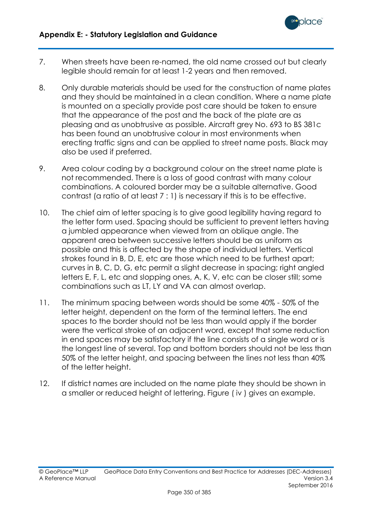

- 7. When streets have been re-named, the old name crossed out but clearly legible should remain for at least 1-2 years and then removed.
- 8. Only durable materials should be used for the construction of name plates and they should be maintained in a clean condition. Where a name plate is mounted on a specially provide post care should be taken to ensure that the appearance of the post and the back of the plate are as pleasing and as unobtrusive as possible. Aircraft grey No. 693 to BS 381c has been found an unobtrusive colour in most environments when erecting traffic signs and can be applied to street name posts. Black may also be used if preferred.
- 9. Area colour coding by a background colour on the street name plate is not recommended. There is a loss of good contrast with many colour combinations. A coloured border may be a suitable alternative. Good contrast (a ratio of at least 7 : 1) is necessary if this is to be effective.
- 10. The chief aim of letter spacing is to give good legibility having regard to the letter form used. Spacing should be sufficient to prevent letters having a jumbled appearance when viewed from an oblique angle. The apparent area between successive letters should be as uniform as possible and this is affected by the shape of individual letters. Vertical strokes found in B, D, E, etc are those which need to be furthest apart; curves in B, C, D, G, etc permit a slight decrease in spacing; right angled letters E, F, L, etc and slopping ones, A, K, V, etc can be closer still; some combinations such as LT, LY and VA can almost overlap.
- 11. The minimum spacing between words should be some 40% 50% of the letter height, dependent on the form of the terminal letters. The end spaces to the border should not be less than would apply if the border were the vertical stroke of an adjacent word, except that some reduction in end spaces may be satisfactory if the line consists of a single word or is the longest line of several. Top and bottom borders should not be less than 50% of the letter height, and spacing between the lines not less than 40% of the letter height.
- 12. If district names are included on the name plate they should be shown in a smaller or reduced height of lettering. Figure ( iv ) gives an example.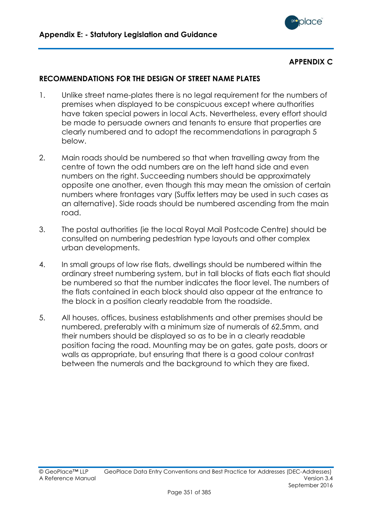

## **APPENDIX C**

# **RECOMMENDATIONS FOR THE DESIGN OF STREET NAME PLATES**

- 1. Unlike street name-plates there is no legal requirement for the numbers of premises when displayed to be conspicuous except where authorities have taken special powers in local Acts. Nevertheless, every effort should be made to persuade owners and tenants to ensure that properties are clearly numbered and to adopt the recommendations in paragraph 5 below.
- 2. Main roads should be numbered so that when travelling away from the centre of town the odd numbers are on the left hand side and even numbers on the right. Succeeding numbers should be approximately opposite one another, even though this may mean the omission of certain numbers where frontages vary (Suffix letters may be used in such cases as an alternative). Side roads should be numbered ascending from the main road.
- 3. The postal authorities (ie the local Royal Mail Postcode Centre) should be consulted on numbering pedestrian type layouts and other complex urban developments.
- 4. In small groups of low rise flats, dwellings should be numbered within the ordinary street numbering system, but in tall blocks of flats each flat should be numbered so that the number indicates the floor level. The numbers of the flats contained in each block should also appear at the entrance to the block in a position clearly readable from the roadside.
- 5. All houses, offices, business establishments and other premises should be numbered, preferably with a minimum size of numerals of 62.5mm, and their numbers should be displayed so as to be in a clearly readable position facing the road. Mounting may be on gates, gate posts, doors or walls as appropriate, but ensuring that there is a good colour contrast between the numerals and the background to which they are fixed.